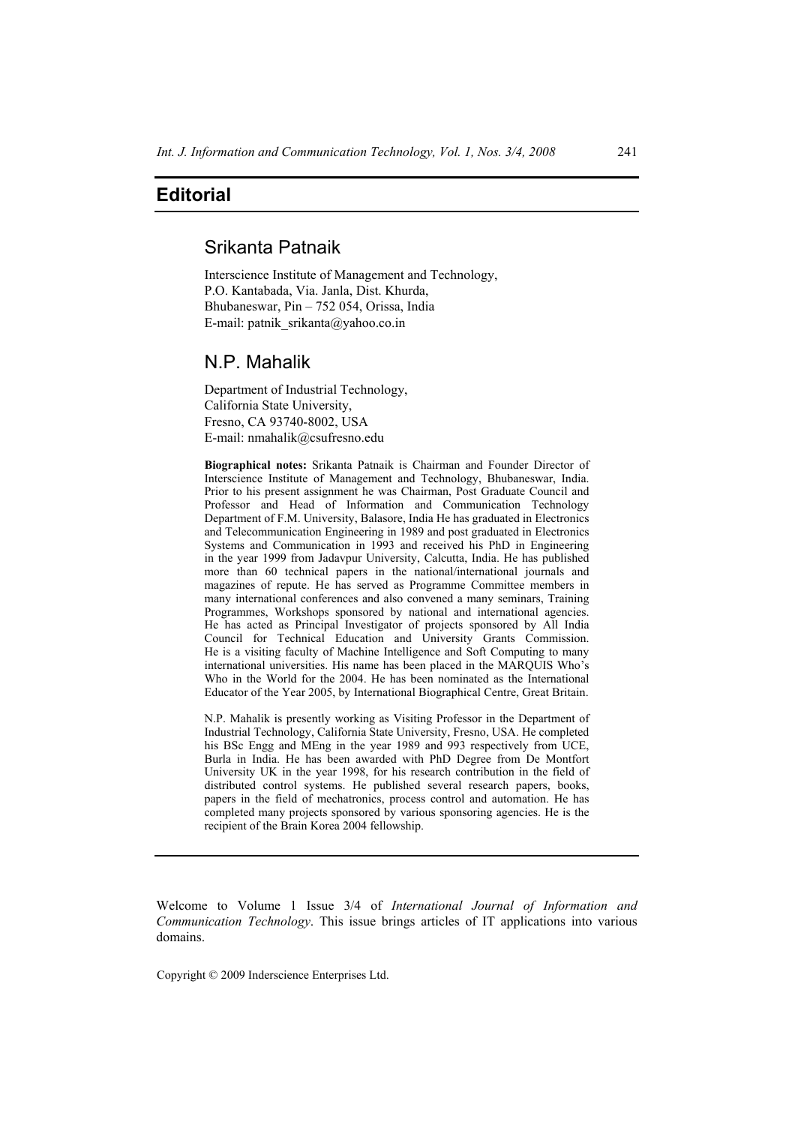## **Editorial**

# Srikanta Patnaik

Interscience Institute of Management and Technology, P.O. Kantabada, Via. Janla, Dist. Khurda, Bhubaneswar, Pin – 752 054, Orissa, India E-mail: patnik\_srikanta@yahoo.co.in

### N.P. Mahalik

Department of Industrial Technology, California State University, Fresno, CA 93740-8002, USA E-mail: nmahalik@csufresno.edu

**Biographical notes:** Srikanta Patnaik is Chairman and Founder Director of Interscience Institute of Management and Technology, Bhubaneswar, India. Prior to his present assignment he was Chairman, Post Graduate Council and Professor and Head of Information and Communication Technology Department of F.M. University, Balasore, India He has graduated in Electronics and Telecommunication Engineering in 1989 and post graduated in Electronics Systems and Communication in 1993 and received his PhD in Engineering in the year 1999 from Jadavpur University, Calcutta, India. He has published more than 60 technical papers in the national/international journals and magazines of repute. He has served as Programme Committee members in many international conferences and also convened a many seminars, Training Programmes, Workshops sponsored by national and international agencies. He has acted as Principal Investigator of projects sponsored by All India Council for Technical Education and University Grants Commission. He is a visiting faculty of Machine Intelligence and Soft Computing to many international universities. His name has been placed in the MARQUIS Who's Who in the World for the 2004. He has been nominated as the International Educator of the Year 2005, by International Biographical Centre, Great Britain.

N.P. Mahalik is presently working as Visiting Professor in the Department of Industrial Technology, California State University, Fresno, USA. He completed his BSc Engg and MEng in the year 1989 and 993 respectively from UCE, Burla in India. He has been awarded with PhD Degree from De Montfort University UK in the year 1998, for his research contribution in the field of distributed control systems. He published several research papers, books, papers in the field of mechatronics, process control and automation. He has completed many projects sponsored by various sponsoring agencies. He is the recipient of the Brain Korea 2004 fellowship.

Welcome to Volume 1 Issue 3/4 of *International Journal of Information and Communication Technology*. This issue brings articles of IT applications into various domains.

Copyright © 2009 Inderscience Enterprises Ltd.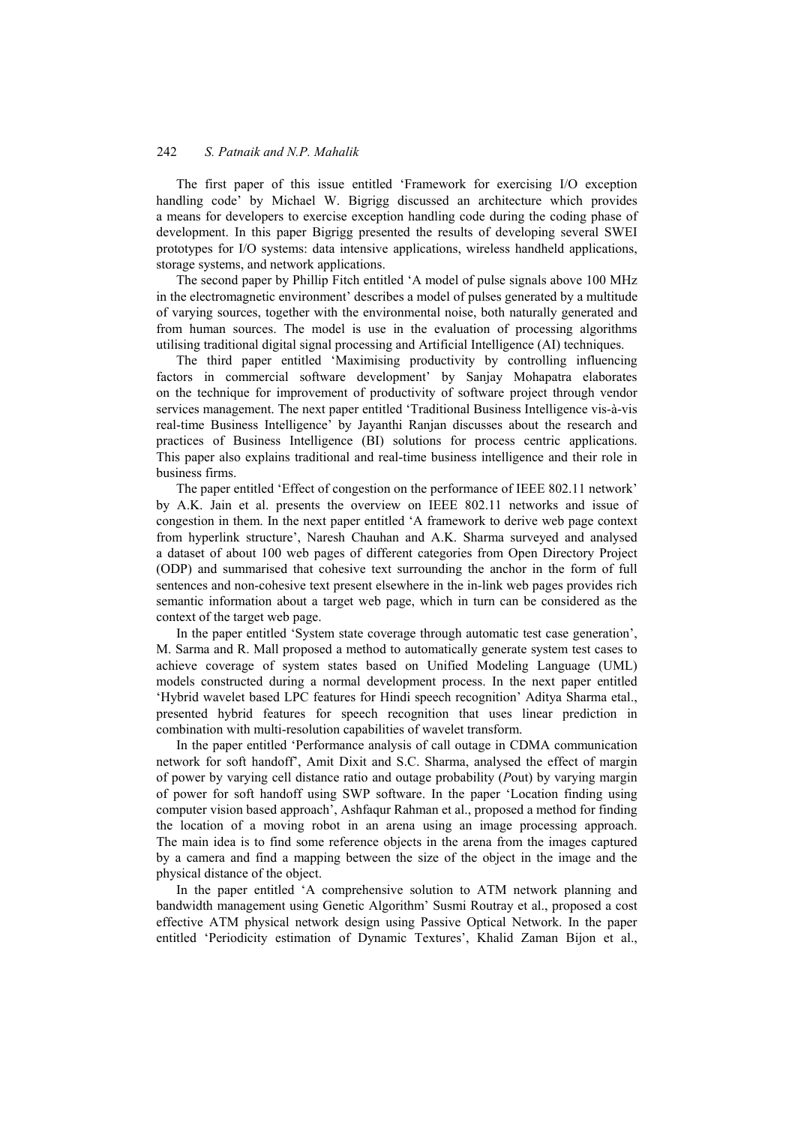### 242 *S. Patnaik and N.P. Mahalik*

The first paper of this issue entitled 'Framework for exercising I/O exception handling code' by Michael W. Bigrigg discussed an architecture which provides a means for developers to exercise exception handling code during the coding phase of development. In this paper Bigrigg presented the results of developing several SWEI prototypes for I/O systems: data intensive applications, wireless handheld applications, storage systems, and network applications.

The second paper by Phillip Fitch entitled 'A model of pulse signals above 100 MHz in the electromagnetic environment' describes a model of pulses generated by a multitude of varying sources, together with the environmental noise, both naturally generated and from human sources. The model is use in the evaluation of processing algorithms utilising traditional digital signal processing and Artificial Intelligence (AI) techniques.

The third paper entitled 'Maximising productivity by controlling influencing factors in commercial software development' by Sanjay Mohapatra elaborates on the technique for improvement of productivity of software project through vendor services management. The next paper entitled 'Traditional Business Intelligence vis-à-vis real-time Business Intelligence' by Jayanthi Ranjan discusses about the research and practices of Business Intelligence (BI) solutions for process centric applications. This paper also explains traditional and real-time business intelligence and their role in business firms.

The paper entitled 'Effect of congestion on the performance of IEEE 802.11 network' by A.K. Jain et al. presents the overview on IEEE 802.11 networks and issue of congestion in them. In the next paper entitled 'A framework to derive web page context from hyperlink structure', Naresh Chauhan and A.K. Sharma surveyed and analysed a dataset of about 100 web pages of different categories from Open Directory Project (ODP) and summarised that cohesive text surrounding the anchor in the form of full sentences and non-cohesive text present elsewhere in the in-link web pages provides rich semantic information about a target web page, which in turn can be considered as the context of the target web page.

In the paper entitled 'System state coverage through automatic test case generation', M. Sarma and R. Mall proposed a method to automatically generate system test cases to achieve coverage of system states based on Unified Modeling Language (UML) models constructed during a normal development process. In the next paper entitled 'Hybrid wavelet based LPC features for Hindi speech recognition' Aditya Sharma etal., presented hybrid features for speech recognition that uses linear prediction in combination with multi-resolution capabilities of wavelet transform.

In the paper entitled 'Performance analysis of call outage in CDMA communication network for soft handoff', Amit Dixit and S.C. Sharma, analysed the effect of margin of power by varying cell distance ratio and outage probability (*P*out) by varying margin of power for soft handoff using SWP software. In the paper 'Location finding using computer vision based approach', Ashfaqur Rahman et al., proposed a method for finding the location of a moving robot in an arena using an image processing approach. The main idea is to find some reference objects in the arena from the images captured by a camera and find a mapping between the size of the object in the image and the physical distance of the object.

In the paper entitled 'A comprehensive solution to ATM network planning and bandwidth management using Genetic Algorithm' Susmi Routray et al., proposed a cost effective ATM physical network design using Passive Optical Network. In the paper entitled 'Periodicity estimation of Dynamic Textures', Khalid Zaman Bijon et al.,